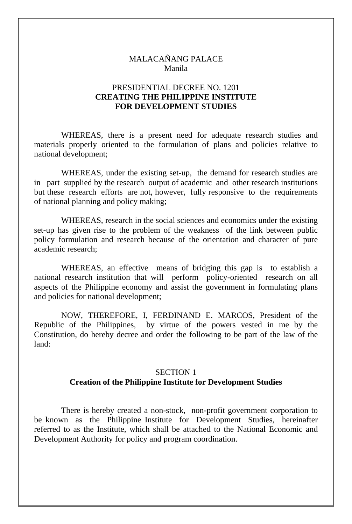### MALACAÑANG PALACE Manila

### PRESIDENTIAL DECREE NO. 1201 **CREATING THE PHILIPPINE INSTITUTE FOR DEVELOPMENT STUDIES**

 WHEREAS, there is a present need for adequate research studies and materials properly oriented to the formulation of plans and policies relative to national development;

 WHEREAS, under the existing set-up, the demand for research studies are in part supplied by the research output of academic and other research institutions but these research efforts are not, however, fully responsive to the requirements of national planning and policy making;

 WHEREAS, research in the social sciences and economics under the existing set-up has given rise to the problem of the weakness of the link between public policy formulation and research because of the orientation and character of pure academic research;

 WHEREAS, an effective means of bridging this gap is to establish a national research institution that will perform policy-oriented research on all aspects of the Philippine economy and assist the government in formulating plans and policies for national development;

 NOW, THEREFORE, I, FERDINAND E. MARCOS, President of the Republic of the Philippines, by virtue of the powers vested in me by the Constitution, do hereby decree and order the following to be part of the law of the land:

#### SECTION 1

# **Creation of the Philippine Institute for Development Studies**

 There is hereby created a non-stock, non-profit government corporation to be known as the Philippine Institute for Development Studies, hereinafter referred to as the Institute, which shall be attached to the National Economic and Development Authority for policy and program coordination.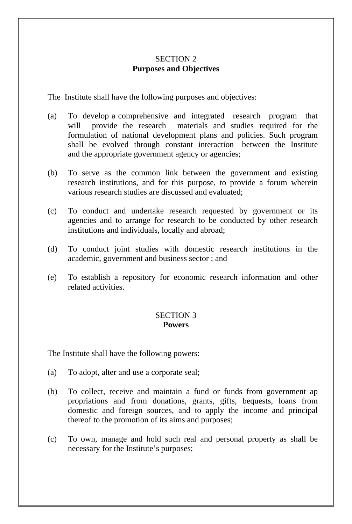# SECTION 2 **Purposes and Objectives**

The Institute shall have the following purposes and objectives:

- (a) To develop a comprehensive and integrated research program that will provide the research materials and studies required for the formulation of national development plans and policies. Such program shall be evolved through constant interaction between the Institute and the appropriate government agency or agencies;
- (b) To serve as the common link between the government and existing research institutions, and for this purpose, to provide a forum wherein various research studies are discussed and evaluated;
- (c) To conduct and undertake research requested by government or its agencies and to arrange for research to be conducted by other research institutions and individuals, locally and abroad;
- (d) To conduct joint studies with domestic research institutions in the academic, government and business sector ; and
- (e) To establish a repository for economic research information and other related activities.

#### SECTION 3 **Powers**

The Institute shall have the following powers:

- (a) To adopt, alter and use a corporate seal;
- (b) To collect, receive and maintain a fund or funds from government ap propriations and from donations, grants, gifts, bequests, loans from domestic and foreign sources, and to apply the income and principal thereof to the promotion of its aims and purposes;
- (c) To own, manage and hold such real and personal property as shall be necessary for the Institute's purposes;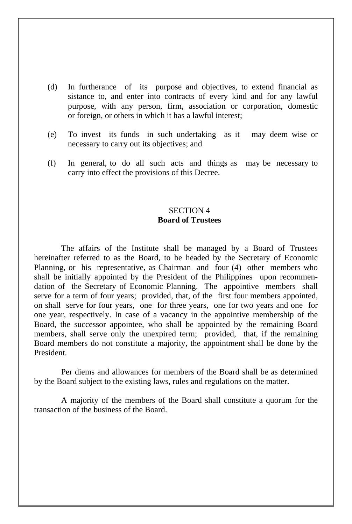- (d) In furtherance of its purpose and objectives, to extend financial as sistance to, and enter into contracts of every kind and for any lawful purpose, with any person, firm, association or corporation, domestic or foreign, or others in which it has a lawful interest;
- (e) To invest its funds in such undertaking as it may deem wise or necessary to carry out its objectives; and
- (f) In general, to do all such acts and things as may be necessary to carry into effect the provisions of this Decree.

# SECTION 4 **Board of Trustees**

 The affairs of the Institute shall be managed by a Board of Trustees hereinafter referred to as the Board, to be headed by the Secretary of Economic Planning, or his representative, as Chairman and four (4) other members who shall be initially appointed by the President of the Philippines upon recommendation of the Secretary of Economic Planning. The appointive members shall serve for a term of four years; provided, that, of the first four members appointed, on shall serve for four years, one for three years, one for two years and one for one year, respectively. In case of a vacancy in the appointive membership of the Board, the successor appointee, who shall be appointed by the remaining Board members, shall serve only the unexpired term; provided, that, if the remaining Board members do not constitute a majority, the appointment shall be done by the President.

 Per diems and allowances for members of the Board shall be as determined by the Board subject to the existing laws, rules and regulations on the matter.

 A majority of the members of the Board shall constitute a quorum for the transaction of the business of the Board.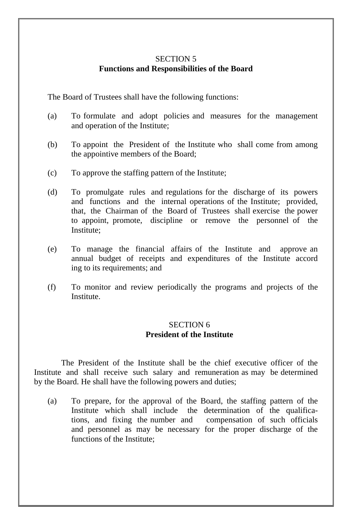### SECTION 5 **Functions and Responsibilities of the Board**

The Board of Trustees shall have the following functions:

- (a) To formulate and adopt policies and measures for the management and operation of the Institute;
- (b) To appoint the President of the Institute who shall come from among the appointive members of the Board;
- (c) To approve the staffing pattern of the Institute;
- (d) To promulgate rules and regulations for the discharge of its powers and functions and the internal operations of the Institute; provided, that, the Chairman of the Board of Trustees shall exercise the power to appoint, promote, discipline or remove the personnel of the Institute;
- (e) To manage the financial affairs of the Institute and approve an annual budget of receipts and expenditures of the Institute accord ing to its requirements; and
- (f) To monitor and review periodically the programs and projects of the Institute.

# SECTION 6 **President of the Institute**

 The President of the Institute shall be the chief executive officer of the Institute and shall receive such salary and remuneration as may be determined by the Board. He shall have the following powers and duties;

(a) To prepare, for the approval of the Board, the staffing pattern of the Institute which shall include the determination of the qualifications, and fixing the number and compensation of such officials and personnel as may be necessary for the proper discharge of the functions of the Institute;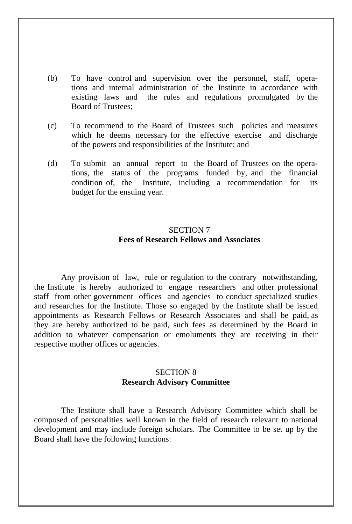- (b) To have control and supervision over the personnel, staff, operations and internal administration of the Institute in accordance with existing laws and the rules and regulations promulgated by the Board of Trustees;
- (c) To recommend to the Board of Trustees such policies and measures which he deems necessary for the effective exercise and discharge of the powers and responsibilities of the Institute; and
- (d) To submit an annual report to the Board of Trustees on the operations, the status of the programs funded by, and the financial condition of, the Institute, including a recommendation for its budget for the ensuing year.

# SECTION 7 **Fees of Research Fellows and Associates**

 Any provision of law, rule or regulation to the contrary notwithstanding, the Institute is hereby authorized to engage researchers and other professional staff from other government offices and agencies to conduct specialized studies and researches for the Institute. Those so engaged by the Institute shall be issued appointments as Research Fellows or Research Associates and shall be paid, as they are hereby authorized to be paid, such fees as determined by the Board in addition to whatever compensation or emoluments they are receiving in their respective mother offices or agencies.

#### SECTION 8 **Research Advisory Committee**

 The Institute shall have a Research Advisory Committee which shall be composed of personalities well known in the field of research relevant to national development and may include foreign scholars. The Committee to be set up by the Board shall have the following functions: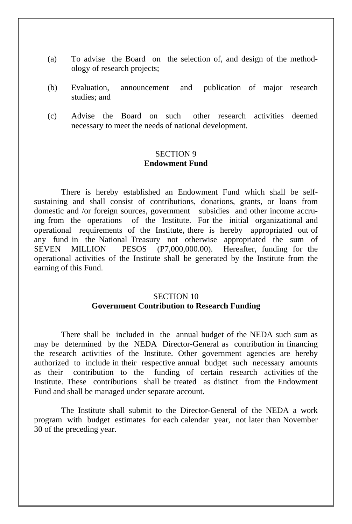- (a) To advise the Board on the selection of, and design of the methodology of research projects;
- (b) Evaluation, announcement and publication of major research studies; and
- (c) Advise the Board on such other research activities deemed necessary to meet the needs of national development.

#### SECTION 9 **Endowment Fund**

 There is hereby established an Endowment Fund which shall be selfsustaining and shall consist of contributions, donations, grants, or loans from domestic and /or foreign sources, government subsidies and other income accruing from the operations of the Institute. For the initial organizational and operational requirements of the Institute, there is hereby appropriated out of any fund in the National Treasury not otherwise appropriated the sum of SEVEN MILLION PESOS (P7,000,000.00). Hereafter, funding for the operational activities of the Institute shall be generated by the Institute from the earning of this Fund.

# SECTION 10 **Government Contribution to Research Funding**

 There shall be included in the annual budget of the NEDA such sum as may be determined by the NEDA Director-General as contribution in financing the research activities of the Institute. Other government agencies are hereby authorized to include in their respective annual budget such necessary amounts as their contribution to the funding of certain research activities of the Institute. These contributions shall be treated as distinct from the Endowment Fund and shall be managed under separate account.

 The Institute shall submit to the Director-General of the NEDA a work program with budget estimates for each calendar year, not later than November 30 of the preceding year.